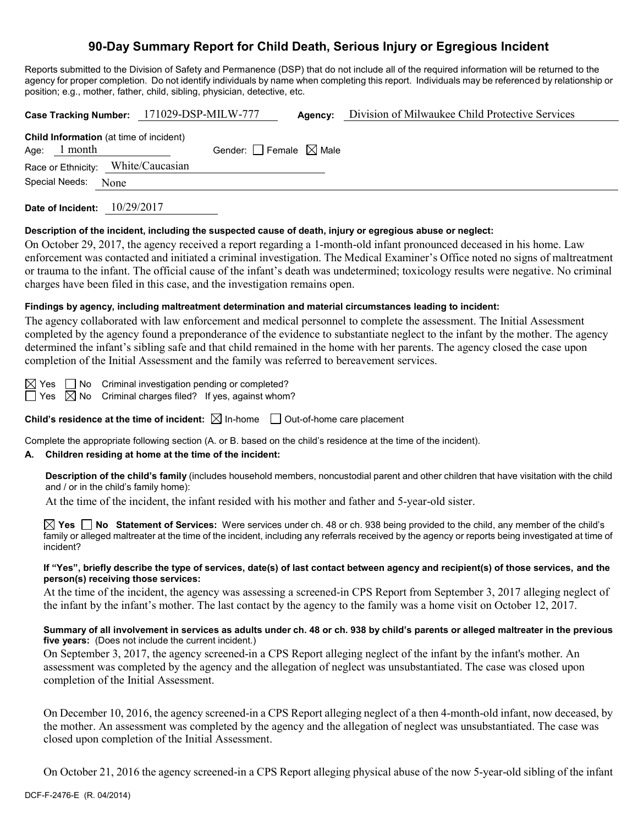# **90-Day Summary Report for Child Death, Serious Injury or Egregious Incident**

Reports submitted to the Division of Safety and Permanence (DSP) that do not include all of the required information will be returned to the agency for proper completion. Do not identify individuals by name when completing this report. Individuals may be referenced by relationship or position; e.g., mother, father, child, sibling, physician, detective, etc.

|                                                      | Case Tracking Number: 171029-DSP-MILW-777 | Agency: | Division of Milwaukee Child Protective Services |
|------------------------------------------------------|-------------------------------------------|---------|-------------------------------------------------|
| <b>Child Information</b> (at time of incident)       |                                           |         |                                                 |
| Age: $1$ month<br>Race or Ethnicity: White/Caucasian | Gender: $\Box$ Female $\boxtimes$ Male    |         |                                                 |
| Special Needs: None                                  |                                           |         |                                                 |
| Date of Incident: $10/29/2017$                       |                                           |         |                                                 |

#### **Description of the incident, including the suspected cause of death, injury or egregious abuse or neglect:**

On October 29, 2017, the agency received a report regarding a 1-month-old infant pronounced deceased in his home. Law enforcement was contacted and initiated a criminal investigation. The Medical Examiner's Office noted no signs of maltreatment or trauma to the infant. The official cause of the infant's death was undetermined; toxicology results were negative. No criminal charges have been filed in this case, and the investigation remains open.

### **Findings by agency, including maltreatment determination and material circumstances leading to incident:**

The agency collaborated with law enforcement and medical personnel to complete the assessment. The Initial Assessment completed by the agency found a preponderance of the evidence to substantiate neglect to the infant by the mother. The agency determined the infant's sibling safe and that child remained in the home with her parents. The agency closed the case upon completion of the Initial Assessment and the family was referred to bereavement services.

 $\boxtimes$  Yes  $\Box$  No Criminal investigation pending or completed?

 $\Box$  Yes  $\boxtimes$  No Criminal charges filed? If yes, against whom?

**Child's residence at the time of incident:**  $\boxtimes$  In-home  $\Box$  Out-of-home care placement

Complete the appropriate following section (A. or B. based on the child's residence at the time of the incident).

## **A. Children residing at home at the time of the incident:**

**Description of the child's family** (includes household members, noncustodial parent and other children that have visitation with the child and / or in the child's family home):

At the time of the incident, the infant resided with his mother and father and 5-year-old sister.

**Yes No Statement of Services:** Were services under ch. 48 or ch. 938 being provided to the child, any member of the child's family or alleged maltreater at the time of the incident, including any referrals received by the agency or reports being investigated at time of incident?

#### **If "Yes", briefly describe the type of services, date(s) of last contact between agency and recipient(s) of those services, and the person(s) receiving those services:**

At the time of the incident, the agency was assessing a screened-in CPS Report from September 3, 2017 alleging neglect of the infant by the infant's mother. The last contact by the agency to the family was a home visit on October 12, 2017.

### **Summary of all involvement in services as adults under ch. 48 or ch. 938 by child's parents or alleged maltreater in the previous five years:** (Does not include the current incident.)

On September 3, 2017, the agency screened-in a CPS Report alleging neglect of the infant by the infant's mother. An assessment was completed by the agency and the allegation of neglect was unsubstantiated. The case was closed upon completion of the Initial Assessment.

On December 10, 2016, the agency screened-in a CPS Report alleging neglect of a then 4-month-old infant, now deceased, by the mother. An assessment was completed by the agency and the allegation of neglect was unsubstantiated. The case was closed upon completion of the Initial Assessment.

On October 21, 2016 the agency screened-in a CPS Report alleging physical abuse of the now 5-year-old sibling of the infant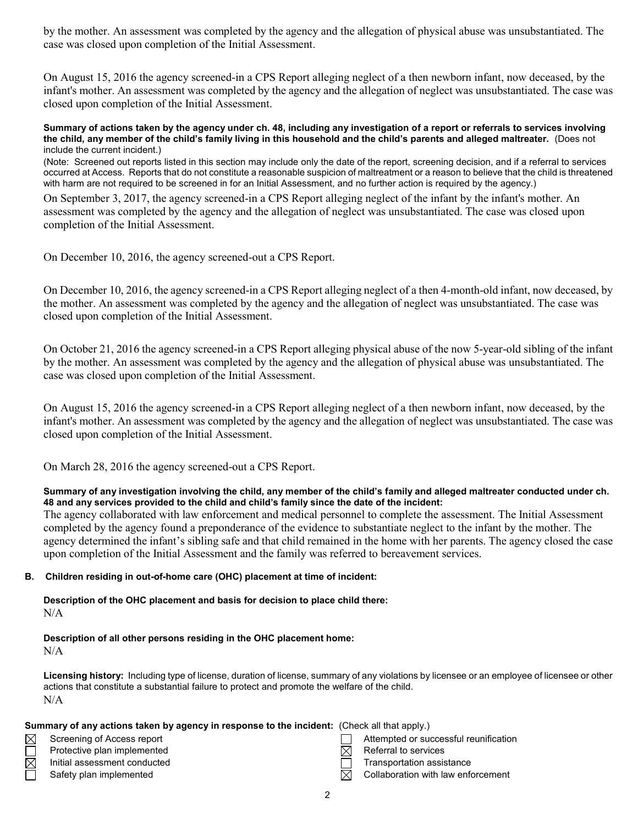by the mother. An assessment was completed by the agency and the allegation of physical abuse was unsubstantiated. The case was closed upon completion of the Initial Assessment.

On August 15, 2016 the agency screened-in a CPS Report alleging neglect of a then newborn infant, now deceased, by the infant's mother. An assessment was completed by the agency and the allegation of neglect was unsubstantiated. The case was closed upon completion of the Initial Assessment.

#### **Summary of actions taken by the agency under ch. 48, including any investigation of a report or referrals to services involving the child, any member of the child's family living in this household and the child's parents and alleged maltreater.** (Does not include the current incident.)

(Note: Screened out reports listed in this section may include only the date of the report, screening decision, and if a referral to services occurred at Access. Reports that do not constitute a reasonable suspicion of maltreatment or a reason to believe that the child is threatened with harm are not required to be screened in for an Initial Assessment, and no further action is required by the agency.)

On September 3, 2017, the agency screened-in a CPS Report alleging neglect of the infant by the infant's mother. An assessment was completed by the agency and the allegation of neglect was unsubstantiated. The case was closed upon completion of the Initial Assessment.

On December 10, 2016, the agency screened-out a CPS Report.

On December 10, 2016, the agency screened-in a CPS Report alleging neglect of a then 4-month-old infant, now deceased, by the mother. An assessment was completed by the agency and the allegation of neglect was unsubstantiated. The case was closed upon completion of the Initial Assessment.

On October 21, 2016 the agency screened-in a CPS Report alleging physical abuse of the now 5-year-old sibling of the infant by the mother. An assessment was completed by the agency and the allegation of physical abuse was unsubstantiated. The case was closed upon completion of the Initial Assessment.

On August 15, 2016 the agency screened-in a CPS Report alleging neglect of a then newborn infant, now deceased, by the infant's mother. An assessment was completed by the agency and the allegation of neglect was unsubstantiated. The case was closed upon completion of the Initial Assessment.

On March 28, 2016 the agency screened-out a CPS Report.

### **Summary of any investigation involving the child, any member of the child's family and alleged maltreater conducted under ch. 48 and any services provided to the child and child's family since the date of the incident:**

The agency collaborated with law enforcement and medical personnel to complete the assessment. The Initial Assessment completed by the agency found a preponderance of the evidence to substantiate neglect to the infant by the mother. The agency determined the infant's sibling safe and that child remained in the home with her parents. The agency closed the case upon completion of the Initial Assessment and the family was referred to bereavement services.

# **B. Children residing in out-of-home care (OHC) placement at time of incident:**

**Description of the OHC placement and basis for decision to place child there:** N/A

# **Description of all other persons residing in the OHC placement home:**

 $N/A$ 

**Licensing history:** Including type of license, duration of license, summary of any violations by licensee or an employee of licensee or other actions that constitute a substantial failure to protect and promote the welfare of the child. N/A

|             | <b>Summary of any actions taken by agency in response to the incident:</b> (Check all that apply.) |   |                                       |  |
|-------------|----------------------------------------------------------------------------------------------------|---|---------------------------------------|--|
| $\boxtimes$ | Screening of Access report                                                                         |   | Attempted or successful reunification |  |
|             | Protective plan implemented                                                                        |   | Referral to services                  |  |
| $\boxtimes$ | Initial assessment conducted                                                                       |   | Transportation assistance             |  |
|             | Safety plan implemented                                                                            | M | Collaboration with law enforcement    |  |